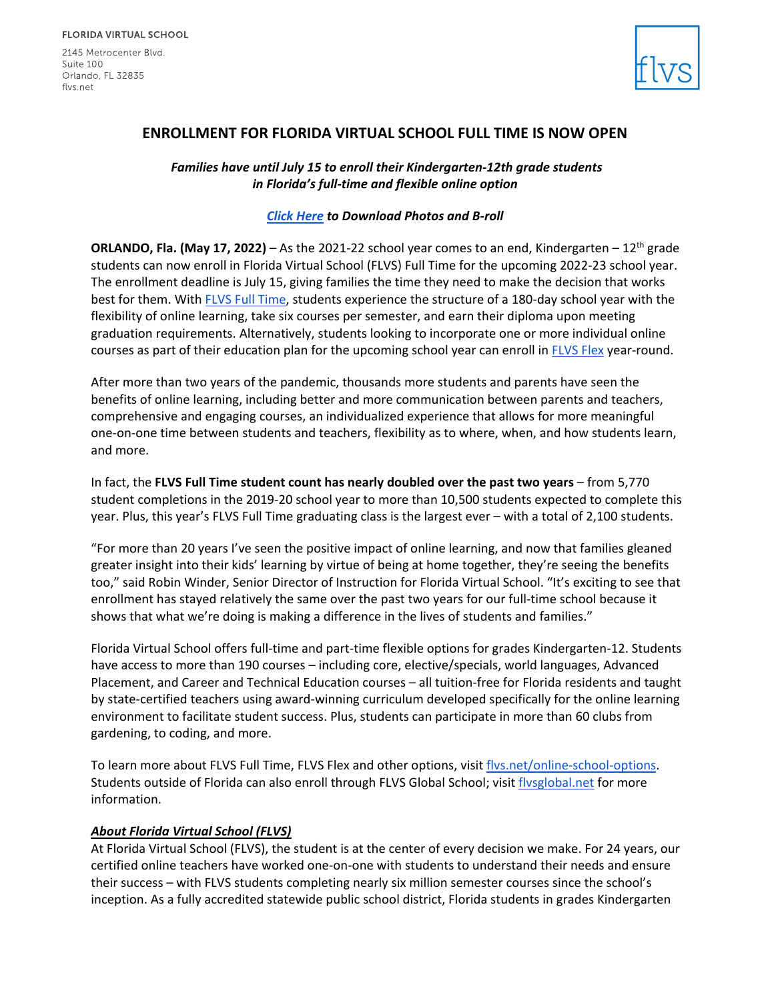2145 Metrocenter Blvd. Suite 100 Orlando, FL 32835 flys.net



## **ENROLLMENT FOR FLORIDA VIRTUAL SCHOOL FULL TIME IS NOW OPEN**

*Families have until July 15 to enroll their Kindergarten-12th grade students in Florida's full-time and flexible online option*

## *[Click Here](https://drive.google.com/drive/folders/1C3mFmIFPzncEq7iPLSrS6Nc6Jm6yB7H9?usp=sharing) to Download Photos and B-roll*

**ORLANDO, Fla. (May 17, 2022)** – As the 2021-22 school year comes to an end, Kindergarten –  $12<sup>th</sup>$  grade students can now enroll in Florida Virtual School (FLVS) Full Time for the upcoming 2022-23 school year. The enrollment deadline is July 15, giving families the time they need to make the decision that works best for them. With [FLVS Full Time,](https://www.flvs.net/full-time) students experience the structure of a 180-day school year with the flexibility of online learning, take six courses per semester, and earn their diploma upon meeting graduation requirements. Alternatively, students looking to incorporate one or more individual online courses as part of their education plan for the upcoming school year can enroll in [FLVS Flex](https://www.flvs.net/flex) year-round.

After more than two years of the pandemic, thousands more students and parents have seen the benefits of online learning, including better and more communication between parents and teachers, comprehensive and engaging courses, an individualized experience that allows for more meaningful one-on-one time between students and teachers, flexibility as to where, when, and how students learn, and more.

In fact, the **FLVS Full Time student count has nearly doubled over the past two years** – from 5,770 student completions in the 2019-20 school year to more than 10,500 students expected to complete this year. Plus, this year's FLVS Full Time graduating class is the largest ever – with a total of 2,100 students.

"For more than 20 years I've seen the positive impact of online learning, and now that families gleaned greater insight into their kids' learning by virtue of being at home together, they're seeing the benefits too," said Robin Winder, Senior Director of Instruction for Florida Virtual School. "It's exciting to see that enrollment has stayed relatively the same over the past two years for our full-time school because it shows that what we're doing is making a difference in the lives of students and families."

Florida Virtual School offers full-time and part-time flexible options for grades Kindergarten-12. Students have access to more than 190 courses – including core, elective/specials, world languages, Advanced Placement, and Career and Technical Education courses – all tuition-free for Florida residents and taught by state-certified teachers using award-winning curriculum developed specifically for the online learning environment to facilitate student success. Plus, students can participate in more than 60 clubs from gardening, to coding, and more.

To learn more about FLVS Full Time, FLVS Flex and other options, visit [flvs.net/online-school-options.](http://www.flvs.net/online-school-options) Students outside of Florida can also enroll through FLVS Global School; visit [flvsglobal.net](https://www.flvsglobal.net/) for more information.

## *About Florida Virtual School (FLVS)*

At Florida Virtual School (FLVS), the student is at the center of every decision we make. For 24 years, our certified online teachers have worked one-on-one with students to understand their needs and ensure their success – with FLVS students completing nearly six million semester courses since the school's inception. As a fully accredited statewide public school district, Florida students in grades Kindergarten